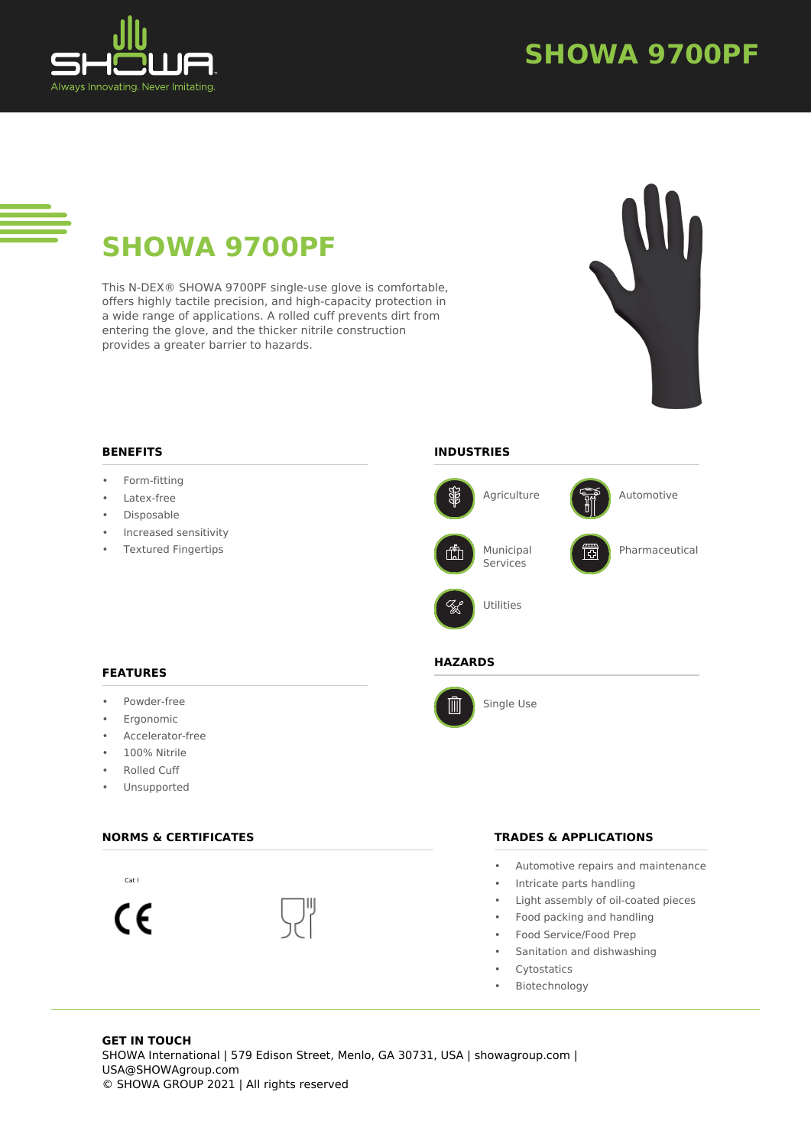

### **SHOWA 9700PF**

# **SHOWA 9700PF**

This N-DEX® SHOWA 9700PF single-use glove is comfortable, offers highly tactile precision, and high-capacity protection in a wide range of applications. A rolled cuff prevents dirt from entering the glove, and the thicker nitrile construction provides a greater barrier to hazards.



### **INDUSTRIES** • Form-fitting Agriculture  $\sqrt{\frac{G_{\theta}^{2}}{R_{\theta}^{0}}}$  Automotive • Increased sensitivity • Textured Fingertips Municipal Pharmaceutical rn Services Utilities **HAZARDS** Single Use 画

#### **FEATURES**

**BENEFITS**

Latex-free **Disposable** 

- Powder-free
- **Ergonomic**
- Accelerator-free
- 100% Nitrile
- Rolled Cuff
- Unsupported

#### **NORMS & CERTIFICATES**



#### **TRADES & APPLICATIONS**

- Automotive repairs and maintenance
- Intricate parts handling
- Light assembly of oil-coated pieces
- Food packing and handling
- Food Service/Food Prep
- Sanitation and dishwashing
- Cytostatics
- Biotechnology

#### **GET IN TOUCH** SHOWA International | 579 Edison Street, Menlo, GA 30731, USA | showagroup.com | USA@SHOWAgroup.com © SHOWA GROUP 2021 | All rights reserved